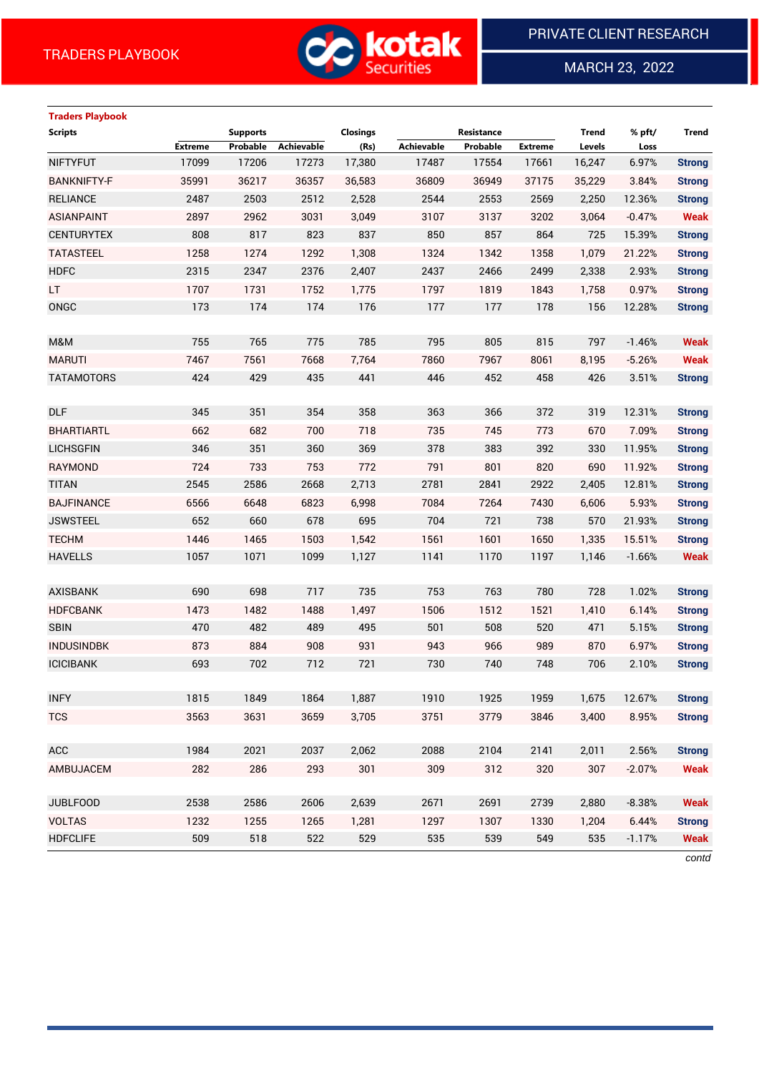

MARCH 23, 2022

 $\overline{a}$ 

# **Traders Playbook Scripts Supports Closings Resistance Trend % pft/ Trend**

|                    | <b>Extreme</b> | Probable | Achievable | (Rs)   | Achievable | Probable | Extreme | Levels | Loss     |               |
|--------------------|----------------|----------|------------|--------|------------|----------|---------|--------|----------|---------------|
| <b>NIFTYFUT</b>    | 17099          | 17206    | 17273      | 17,380 | 17487      | 17554    | 17661   | 16,247 | 6.97%    | <b>Strong</b> |
| <b>BANKNIFTY-F</b> | 35991          | 36217    | 36357      | 36,583 | 36809      | 36949    | 37175   | 35,229 | 3.84%    | <b>Strong</b> |
| <b>RELIANCE</b>    | 2487           | 2503     | 2512       | 2,528  | 2544       | 2553     | 2569    | 2,250  | 12.36%   | <b>Strong</b> |
| <b>ASIANPAINT</b>  | 2897           | 2962     | 3031       | 3,049  | 3107       | 3137     | 3202    | 3,064  | $-0.47%$ | <b>Weak</b>   |
| <b>CENTURYTEX</b>  | 808            | 817      | 823        | 837    | 850        | 857      | 864     | 725    | 15.39%   | <b>Strong</b> |
| <b>TATASTEEL</b>   | 1258           | 1274     | 1292       | 1,308  | 1324       | 1342     | 1358    | 1,079  | 21.22%   | <b>Strong</b> |
| <b>HDFC</b>        | 2315           | 2347     | 2376       | 2,407  | 2437       | 2466     | 2499    | 2,338  | 2.93%    | <b>Strong</b> |
| LT.                | 1707           | 1731     | 1752       | 1,775  | 1797       | 1819     | 1843    | 1,758  | 0.97%    | <b>Strong</b> |
| ONGC               | 173            | 174      | 174        | 176    | 177        | 177      | 178     | 156    | 12.28%   | <b>Strong</b> |
|                    |                |          |            |        |            |          |         |        |          |               |
| M&M                | 755            | 765      | 775        | 785    | 795        | 805      | 815     | 797    | $-1.46%$ | <b>Weak</b>   |
| <b>MARUTI</b>      | 7467           | 7561     | 7668       | 7,764  | 7860       | 7967     | 8061    | 8,195  | $-5.26%$ | <b>Weak</b>   |
| <b>TATAMOTORS</b>  | 424            | 429      | 435        | 441    | 446        | 452      | 458     | 426    | 3.51%    | <b>Strong</b> |
|                    |                |          |            |        |            |          |         |        |          |               |
| DLF                | 345            | 351      | 354        | 358    | 363        | 366      | 372     | 319    | 12.31%   | <b>Strong</b> |
| <b>BHARTIARTL</b>  | 662            | 682      | 700        | 718    | 735        | 745      | 773     | 670    | 7.09%    | <b>Strong</b> |
| <b>LICHSGFIN</b>   | 346            | 351      | 360        | 369    | 378        | 383      | 392     | 330    | 11.95%   | <b>Strong</b> |
| <b>RAYMOND</b>     | 724            | 733      | 753        | 772    | 791        | 801      | 820     | 690    | 11.92%   | <b>Strong</b> |
| <b>TITAN</b>       | 2545           | 2586     | 2668       | 2,713  | 2781       | 2841     | 2922    | 2,405  | 12.81%   | <b>Strong</b> |
| <b>BAJFINANCE</b>  | 6566           | 6648     | 6823       | 6,998  | 7084       | 7264     | 7430    | 6,606  | 5.93%    | <b>Strong</b> |
| <b>JSWSTEEL</b>    | 652            | 660      | 678        | 695    | 704        | 721      | 738     | 570    | 21.93%   | <b>Strong</b> |
| <b>TECHM</b>       | 1446           | 1465     | 1503       | 1,542  | 1561       | 1601     | 1650    | 1,335  | 15.51%   | <b>Strong</b> |
| <b>HAVELLS</b>     | 1057           | 1071     | 1099       | 1,127  | 1141       | 1170     | 1197    | 1,146  | $-1.66%$ | <b>Weak</b>   |
|                    |                |          |            |        |            |          |         |        |          |               |
| <b>AXISBANK</b>    | 690            | 698      | 717        | 735    | 753        | 763      | 780     | 728    | 1.02%    | <b>Strong</b> |
| <b>HDFCBANK</b>    | 1473           | 1482     | 1488       | 1,497  | 1506       | 1512     | 1521    | 1,410  | 6.14%    | <b>Strong</b> |
| <b>SBIN</b>        | 470            | 482      | 489        | 495    | 501        | 508      | 520     | 471    | 5.15%    | <b>Strong</b> |
| <b>INDUSINDBK</b>  | 873            | 884      | 908        | 931    | 943        | 966      | 989     | 870    | 6.97%    | <b>Strong</b> |
| <b>ICICIBANK</b>   | 693            | 702      | 712        | 721    | 730        | 740      | 748     | 706    | 2.10%    | <b>Strong</b> |
|                    |                |          |            |        |            |          |         |        |          |               |
| <b>INFY</b>        | 1815           | 1849     | 1864       | 1,887  | 1910       | 1925     | 1959    | 1,675  | 12.67%   | <b>Strong</b> |
| <b>TCS</b>         | 3563           | 3631     | 3659       | 3,705  | 3751       | 3779     | 3846    | 3,400  | 8.95%    | <b>Strong</b> |
|                    |                |          |            |        |            |          |         |        |          |               |
| <b>ACC</b>         | 1984           | 2021     | 2037       | 2,062  | 2088       | 2104     | 2141    | 2,011  | 2.56%    | <b>Strong</b> |
| AMBUJACEM          | 282            | 286      | 293        | 301    | 309        | 312      | 320     | 307    | $-2.07%$ | <b>Weak</b>   |
|                    |                |          |            |        |            |          |         |        |          |               |
| <b>JUBLFOOD</b>    | 2538           | 2586     | 2606       | 2,639  | 2671       | 2691     | 2739    | 2,880  | $-8.38%$ | <b>Weak</b>   |
| <b>VOLTAS</b>      | 1232           | 1255     | 1265       | 1,281  | 1297       | 1307     | 1330    | 1,204  | 6.44%    | <b>Strong</b> |
| <b>HDFCLIFE</b>    | 509            | 518      | 522        | 529    | 535        | 539      | 549     | 535    | $-1.17%$ | <b>Weak</b>   |
|                    |                |          |            |        |            |          |         |        |          | contd         |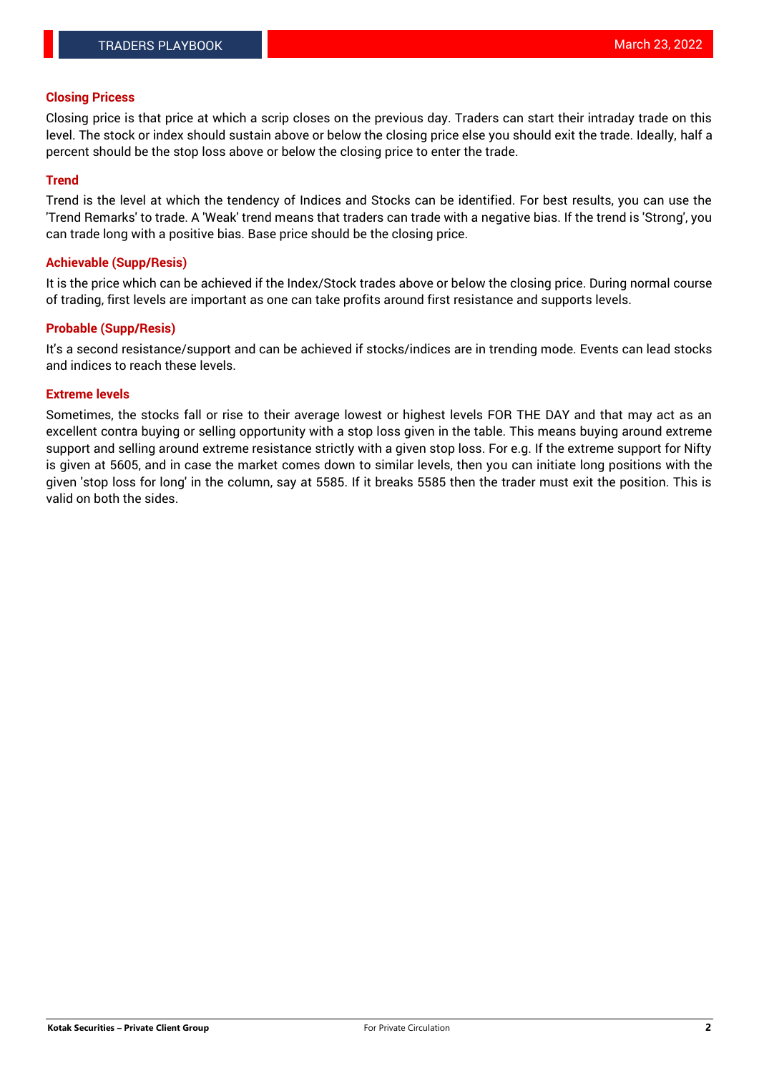#### **Closing Pricess**

Closing price is that price at which a scrip closes on the previous day. Traders can start their intraday trade on this level. The stock or index should sustain above or below the closing price else you should exit the trade. Ideally, half a percent should be the stop loss above or below the closing price to enter the trade.

### **Trend**

Trend is the level at which the tendency of Indices and Stocks can be identified. For best results, you can use the 'Trend Remarks' to trade. A 'Weak' trend means that traders can trade with a negative bias. If the trend is 'Strong', you can trade long with a positive bias. Base price should be the closing price.

#### **Achievable (Supp/Resis)**

It is the price which can be achieved if the Index/Stock trades above or below the closing price. During normal course of trading, first levels are important as one can take profits around first resistance and supports levels.

## **Probable (Supp/Resis)**

It's a second resistance/support and can be achieved if stocks/indices are in trending mode. Events can lead stocks and indices to reach these levels.

#### **Extreme levels**

Sometimes, the stocks fall or rise to their average lowest or highest levels FOR THE DAY and that may act as an excellent contra buying or selling opportunity with a stop loss given in the table. This means buying around extreme support and selling around extreme resistance strictly with a given stop loss. For e.g. If the extreme support for Nifty is given at 5605, and in case the market comes down to similar levels, then you can initiate long positions with the given 'stop loss for long' in the column, say at 5585. If it breaks 5585 then the trader must exit the position. This is valid on both the sides.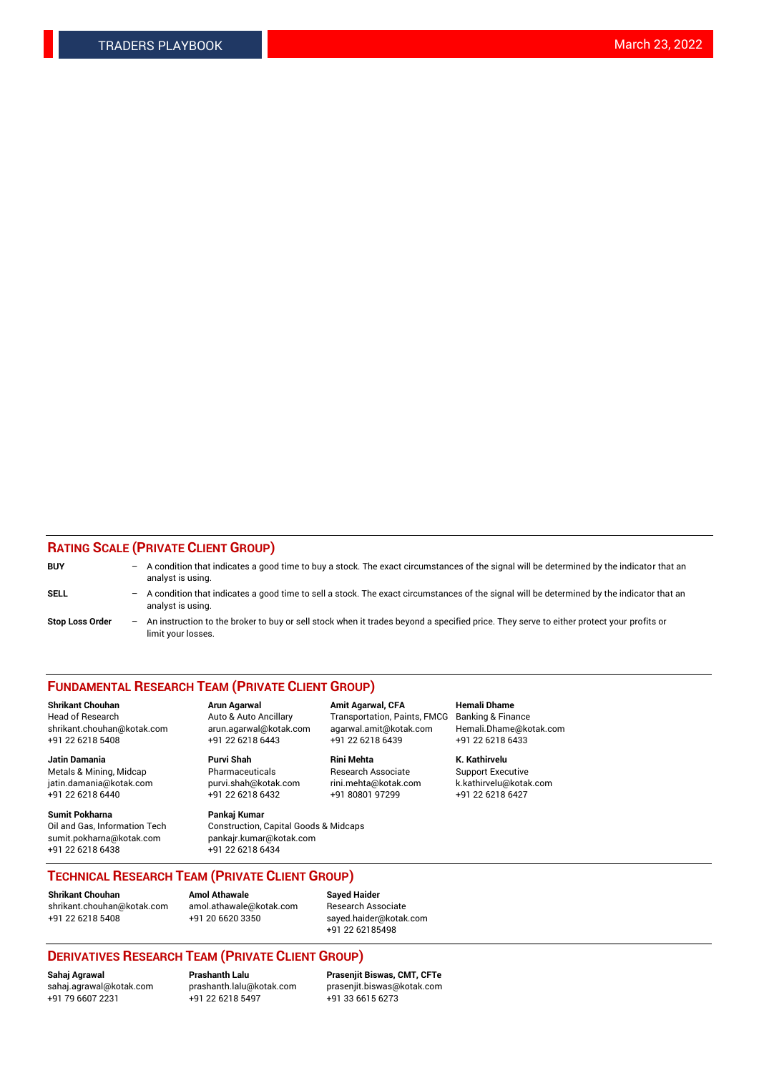## **RATING SCALE (PRIVATE CLIENT GROUP)**

| <b>BUY</b>             | $\overline{\phantom{0}}$ | A condition that indicates a good time to buy a stock. The exact circumstances of the signal will be determined by the indicator that an<br>analyst is using.  |
|------------------------|--------------------------|----------------------------------------------------------------------------------------------------------------------------------------------------------------|
| SELL                   | -                        | A condition that indicates a good time to sell a stock. The exact circumstances of the signal will be determined by the indicator that an<br>analyst is using. |
| <b>Stop Loss Order</b> | $\qquad \qquad -$        | An instruction to the broker to buy or sell stock when it trades beyond a specified price. They serve to either protect your profits or<br>limit your losses.  |

#### **FUNDAMENTAL RESEARCH TEAM (PRIVATE CLIENT GROUP)**

Head of Research Auto & Auto Ancillary Transportation, Paints, FMCG Banking & Finance shrikant.chouhan@kotak.com arun.agarwal@kotak.com agarwal.amit@kotak.com Hemali.Dhame@kotak.com

**Jatin Damania Purvi Shah Rini Mehta K. Kathirvelu** Metals & Mining, Midcap **Pharmaceuticals** Research Associate Support Executive jatin.damania@kotak.com [purvi.shah@kotak.com](mailto:purvi.shah@kotak.com) rini.mehta@kotak.com [k.kathirvelu@kotak.com](mailto:k.kathirvelu@kotak.com)

**Sumit Pokharna Pankaj Kumar** +91 22 6218 6438 +91 22 6218 6434

**Shrikant Chouhan Arun Agarwal Amit Agarwal, CFA Hemali Dhame**

 $+91$  22 6218 6432

Oil and Gas, Information Tech Construction, Capital Goods & Midcaps<br>sumit.pokharna@kotak.com pankair.kumar@kotak.com pankajr.kumar@kotak.com

+91 22 6218 5408 +91 22 6218 6443 +91 22 6218 6439 +91 22 6218 6433

**TECHNICAL RESEARCH TEAM (PRIVATE CLIENT GROUP)**

[shrikant.chouhan@kotak.com](mailto:shrikant.chouhan@kotak.com) [amol.athawale@kotak.com](mailto:amol.athawale@kotak.com) Research Associate +91 22 6218 5408 +91 20 6620 3350 [sayed.haider@kotak.com](mailto:sayed.haider@kotak.com)

**Shrikant Chouhan Amol Athawale Sayed Haider**

+91 22 62185498

# **DERIVATIVES RESEARCH TEAM (PRIVATE CLIENT GROUP)**

.<br>+91 22 6218 5497

**Sahaj Agrawal Prashanth Lalu Prasenjit Biswas, CMT, CFTe** [sahaj.agrawal@kotak.com](mailto:sahaj.agrawal@kotak.com) [prashanth.lalu@kotak.com](mailto:prashanth.lalu@kotak.com) [prasenjit.biswas@kotak.com](mailto:prasenjit.biswas@kotak.com)